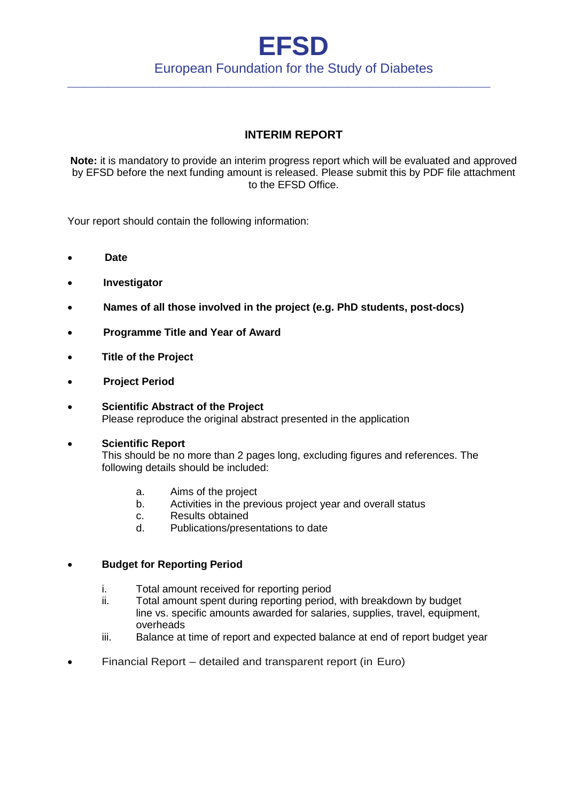## **EFSD** European Foundation for the Study of Diabetes

\_\_\_\_\_\_\_\_\_\_\_\_\_\_\_\_\_\_\_\_\_\_\_\_\_\_\_\_\_\_\_\_\_\_\_\_\_\_\_\_\_\_\_\_\_\_\_\_\_\_\_\_\_\_\_\_\_\_\_\_\_\_\_\_\_\_\_\_\_\_\_\_\_\_

### **INTERIM REPORT**

**Note:** it is mandatory to provide an interim progress report which will be evaluated and approved by EFSD before the next funding amount is released. Please submit this by PDF file attachment to the EFSD Office.

Your report should contain the following information:

- **Date**
- **Investigator**
- **Names of all those involved in the project (e.g. PhD students, post-docs)**
- **Programme Title and Year of Award**
- **Title of the Project**
- **Project Period**
- **Scientific Abstract of the Project** Please reproduce the original abstract presented in the application

#### **Scientific Report**

 This should be no more than 2 pages long, excluding figures and references. The following details should be included:

- a. Aims of the project
- b. Activities in the previous project year and overall status
- c. Results obtained
- d. Publications/presentations to date

#### **Budget for Reporting Period**

- i. Total amount received for reporting period
- ii. Total amount spent during reporting period, with breakdown by budget line vs. specific amounts awarded for salaries, supplies, travel, equipment, overheads
- iii. Balance at time of report and expected balance at end of report budget year
- Financial Report detailed and transparent report (in Euro)